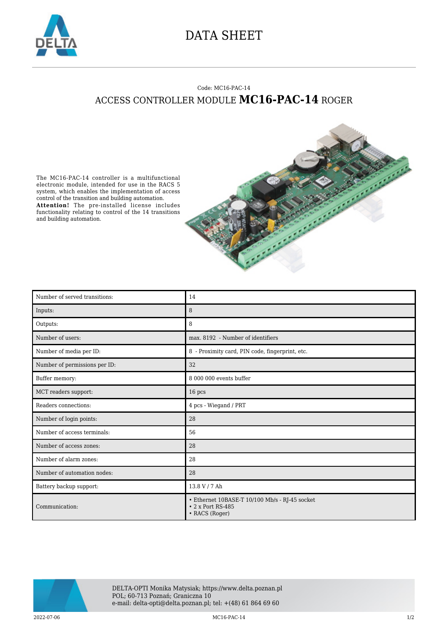

## DATA SHEET

## Code: MC16-PAC-14 ACCESS CONTROLLER MODULE **MC16-PAC-14** ROGER





| Number of served transitions: | 14                                                                                          |
|-------------------------------|---------------------------------------------------------------------------------------------|
| Inputs:                       | 8                                                                                           |
| Outputs:                      | 8                                                                                           |
| Number of users:              | max. 8192 - Number of identifiers                                                           |
| Number of media per ID:       | 8 - Proximity card, PIN code, fingerprint, etc.                                             |
| Number of permissions per ID: | 32                                                                                          |
| Buffer memory:                | 8 000 000 events buffer                                                                     |
| MCT readers support:          | 16 pcs                                                                                      |
| Readers connections:          | 4 pcs - Wiegand / PRT                                                                       |
| Number of login points:       | 28                                                                                          |
| Number of access terminals:   | 56                                                                                          |
| Number of access zones:       | 28                                                                                          |
| Number of alarm zones:        | 28                                                                                          |
| Number of automation nodes:   | 28                                                                                          |
| Battery backup support:       | 13.8 V / 7 Ah                                                                               |
| Communication:                | • Ethernet 10BASE-T 10/100 Mb/s - RJ-45 socket<br>$\cdot$ 2 x Port RS-485<br>• RACS (Roger) |